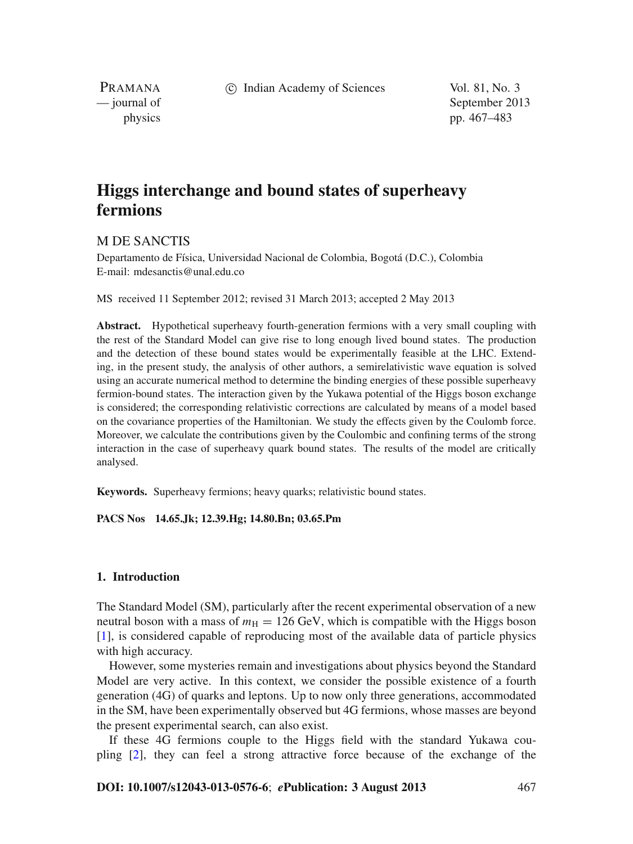c Indian Academy of Sciences Vol. 81, No. 3

PRAMANA

— journal of September 2013 physics pp. 467–483

# **Higgs interchange and bound states of superheavy fermions**

# M DE SANCTIS

Departamento de Física, Universidad Nacional de Colombia, Bogotá (D.C.), Colombia E-mail: mdesanctis@unal.edu.co

MS received 11 September 2012; revised 31 March 2013; accepted 2 May 2013

**Abstract.** Hypothetical superheavy fourth-generation fermions with a very small coupling with the rest of the Standard Model can give rise to long enough lived bound states. The production and the detection of these bound states would be experimentally feasible at the LHC. Extending, in the present study, the analysis of other authors, a semirelativistic wave equation is solved using an accurate numerical method to determine the binding energies of these possible superheavy fermion-bound states. The interaction given by the Yukawa potential of the Higgs boson exchange is considered; the corresponding relativistic corrections are calculated by means of a model based on the covariance properties of the Hamiltonian. We study the effects given by the Coulomb force. Moreover, we calculate the contributions given by the Coulombic and confining terms of the strong interaction in the case of superheavy quark bound states. The results of the model are critically analysed.

**Keywords.** Superheavy fermions; heavy quarks; relativistic bound states.

# **PACS Nos 14.65.Jk; 12.39.Hg; 14.80.Bn; 03.65.Pm**

# **1. Introduction**

The Standard Model (SM), particularly after the recent experimental observation of a new neutral boson with a mass of  $m_H = 126$  GeV, which is compatible with the Higgs boson [\[1](#page-15-0)], is considered capable of reproducing most of the available data of particle physics with high accuracy.

However, some mysteries remain and investigations about physics beyond the Standard Model are very active. In this context, we consider the possible existence of a fourth generation (4G) of quarks and leptons. Up to now only three generations, accommodated in the SM, have been experimentally observed but 4G fermions, whose masses are beyond the present experimental search, can also exist.

If these 4G fermions couple to the Higgs field with the standard Yukawa coupling [\[2](#page-15-1)], they can feel a strong attractive force because of the exchange of the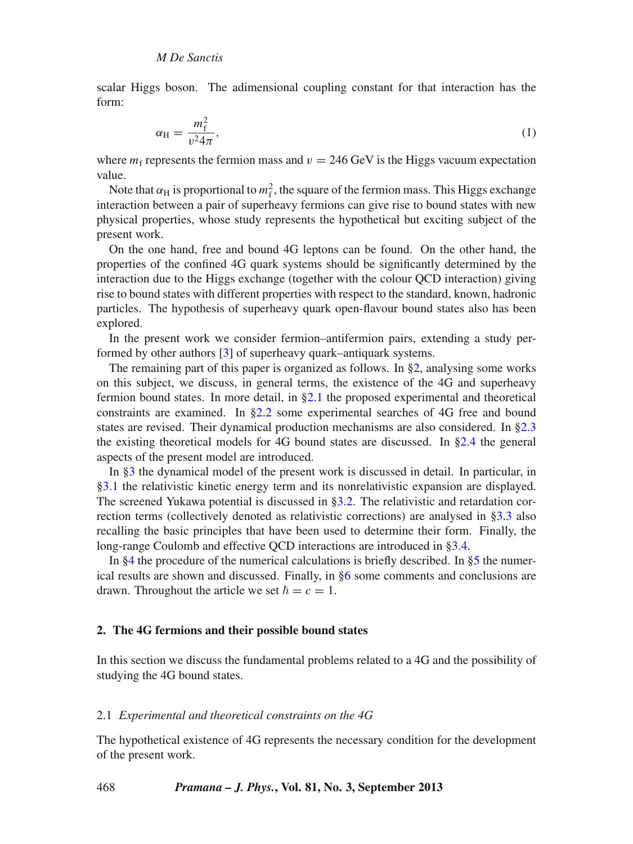<span id="page-1-2"></span>scalar Higgs boson. The adimensional coupling constant for that interaction has the form:

$$
\alpha_{\rm H} = \frac{m_{\rm f}^2}{v^2 4\pi},\tag{1}
$$

where  $m_f$  represents the fermion mass and  $v = 246$  GeV is the Higgs vacuum expectation value.

Note that  $\alpha_H$  is proportional to  $m_f^2$ , the square of the fermion mass. This Higgs exchange interaction between a pair of superheavy fermions can give rise to bound states with new physical properties, whose study represents the hypothetical but exciting subject of the present work.

On the one hand, free and bound 4G leptons can be found. On the other hand, the properties of the confined 4G quark systems should be significantly determined by the interaction due to the Higgs exchange (together with the colour QCD interaction) giving rise to bound states with different properties with respect to the standard, known, hadronic particles. The hypothesis of superheavy quark open-flavour bound states also has been explored.

In the present work we consider fermion–antifermion pairs, extending a study performed by other authors [\[3\]](#page-15-2) of superheavy quark–antiquark systems.

The remaining part of this paper is organized as follows. In [§2,](#page-1-0) analysing some works on this subject, we discuss, in general terms, the existence of the 4G and superheavy fermion bound states. In more detail, in [§2.1](#page-1-1) the proposed experimental and theoretical constraints are examined. In [§2.2](#page-4-0) some experimental searches of 4G free and bound states are revised. Their dynamical production mechanisms are also considered. In [§2.3](#page-5-0) the existing theoretical models for 4G bound states are discussed. In [§2.4](#page-5-1) the general aspects of the present model are introduced.

In [§3](#page-7-0) the dynamical model of the present work is discussed in detail. In particular, in [§3.1](#page-7-1) the relativistic kinetic energy term and its nonrelativistic expansion are displayed. The screened Yukawa potential is discussed in [§3.2.](#page-8-0) The relativistic and retardation correction terms (collectively denoted as relativistic corrections) are analysed in [§3.3](#page-9-0) also recalling the basic principles that have been used to determine their form. Finally, the long-range Coulomb and effective QCD interactions are introduced in [§3.4.](#page-10-0)

In  $\S 4$  the procedure of the numerical calculations is briefly described. In  $\S 5$  the numerical results are shown and discussed. Finally, in [§6](#page-15-3) some comments and conclusions are drawn. Throughout the article we set  $\hbar = c = 1$ .

### <span id="page-1-0"></span>**2. The 4G fermions and their possible bound states**

In this section we discuss the fundamental problems related to a 4G and the possibility of studying the 4G bound states.

# <span id="page-1-1"></span>2.1 *Experimental and theoretical constraints on the 4G*

The hypothetical existence of 4G represents the necessary condition for the development of the present work.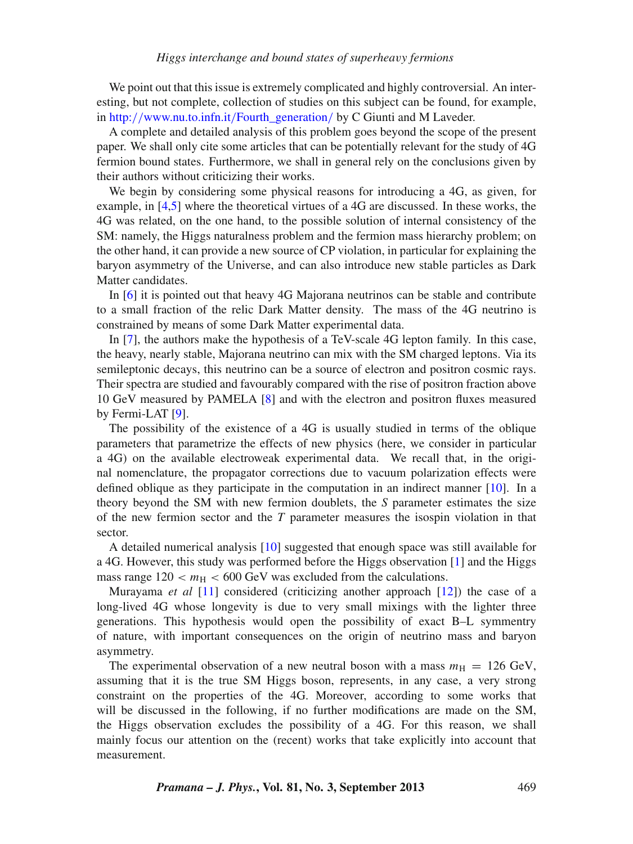We point out that this issue is extremely complicated and highly controversial. An interesting, but not complete, collection of studies on this subject can be found, for example, in http://www.nu.to.infn.it/[Fourth\\_generation](http://www.nu.to.infn.it/Fourth_generation/)/ by C Giunti and M Laveder.

A complete and detailed analysis of this problem goes beyond the scope of the present paper. We shall only cite some articles that can be potentially relevant for the study of 4G fermion bound states. Furthermore, we shall in general rely on the conclusions given by their authors without criticizing their works.

We begin by considering some physical reasons for introducing a 4G, as given, for example, in [\[4](#page-15-4)[,5\]](#page-15-5) where the theoretical virtues of a 4G are discussed. In these works, the 4G was related, on the one hand, to the possible solution of internal consistency of the SM: namely, the Higgs naturalness problem and the fermion mass hierarchy problem; on the other hand, it can provide a new source of CP violation, in particular for explaining the baryon asymmetry of the Universe, and can also introduce new stable particles as Dark Matter candidates.

In [\[6](#page-15-6)] it is pointed out that heavy 4G Majorana neutrinos can be stable and contribute to a small fraction of the relic Dark Matter density. The mass of the 4G neutrino is constrained by means of some Dark Matter experimental data.

In [\[7](#page-15-7)], the authors make the hypothesis of a TeV-scale 4G lepton family. In this case, the heavy, nearly stable, Majorana neutrino can mix with the SM charged leptons. Via its semileptonic decays, this neutrino can be a source of electron and positron cosmic rays. Their spectra are studied and favourably compared with the rise of positron fraction above 10 GeV measured by PAMELA [\[8\]](#page-16-0) and with the electron and positron fluxes measured by Fermi-LAT [\[9\]](#page-16-1).

The possibility of the existence of a 4G is usually studied in terms of the oblique parameters that parametrize the effects of new physics (here, we consider in particular a 4G) on the available electroweak experimental data. We recall that, in the original nomenclature, the propagator corrections due to vacuum polarization effects were defined oblique as they participate in the computation in an indirect manner [\[10\]](#page-16-2). In a theory beyond the SM with new fermion doublets, the *S* parameter estimates the size of the new fermion sector and the *T* parameter measures the isospin violation in that sector.

A detailed numerical analysis [\[10](#page-16-2)] suggested that enough space was still available for a 4G. However, this study was performed before the Higgs observation [\[1](#page-15-0)] and the Higgs mass range  $120 < m<sub>H</sub> < 600 \text{ GeV}$  was excluded from the calculations.

Murayama *et al* [\[11\]](#page-16-3) considered (criticizing another approach [\[12](#page-16-4)]) the case of a long-lived 4G whose longevity is due to very small mixings with the lighter three generations. This hypothesis would open the possibility of exact B–L symmentry of nature, with important consequences on the origin of neutrino mass and baryon asymmetry.

The experimental observation of a new neutral boson with a mass  $m<sub>H</sub> = 126$  GeV, assuming that it is the true SM Higgs boson, represents, in any case, a very strong constraint on the properties of the 4G. Moreover, according to some works that will be discussed in the following, if no further modifications are made on the SM, the Higgs observation excludes the possibility of a 4G. For this reason, we shall mainly focus our attention on the (recent) works that take explicitly into account that measurement.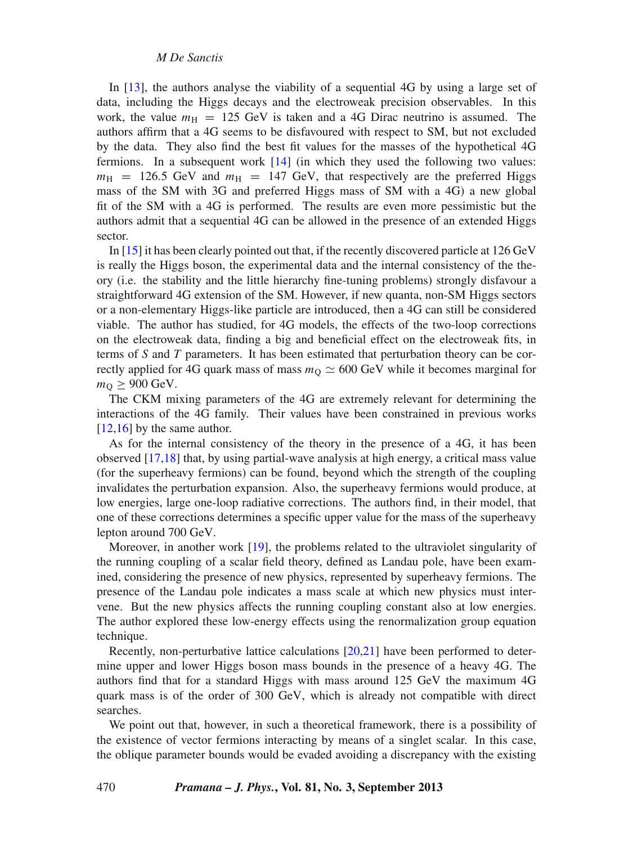In [\[13](#page-16-5)], the authors analyse the viability of a sequential 4G by using a large set of data, including the Higgs decays and the electroweak precision observables. In this work, the value  $m<sub>H</sub>$  = 125 GeV is taken and a 4G Dirac neutrino is assumed. The authors affirm that a 4G seems to be disfavoured with respect to SM, but not excluded by the data. They also find the best fit values for the masses of the hypothetical 4G fermions. In a subsequent work [\[14](#page-16-6)] (in which they used the following two values:  $m_H$  = 126.5 GeV and  $m_H$  = 147 GeV, that respectively are the preferred Higgs mass of the SM with 3G and preferred Higgs mass of SM with a 4G) a new global fit of the SM with a 4G is performed. The results are even more pessimistic but the authors admit that a sequential 4G can be allowed in the presence of an extended Higgs sector.

In [\[15](#page-16-7)] it has been clearly pointed out that, if the recently discovered particle at 126 GeV is really the Higgs boson, the experimental data and the internal consistency of the theory (i.e. the stability and the little hierarchy fine-tuning problems) strongly disfavour a straightforward 4G extension of the SM. However, if new quanta, non-SM Higgs sectors or a non-elementary Higgs-like particle are introduced, then a 4G can still be considered viable. The author has studied, for 4G models, the effects of the two-loop corrections on the electroweak data, finding a big and beneficial effect on the electroweak fits, in terms of *S* and *T* parameters. It has been estimated that perturbation theory can be correctly applied for 4G quark mass of mass  $m<sub>O</sub> \approx 600$  GeV while it becomes marginal for  $m<sub>O</sub> \geq 900$  GeV.

The CKM mixing parameters of the 4G are extremely relevant for determining the interactions of the 4G family. Their values have been constrained in previous works [\[12](#page-16-4)[,16\]](#page-16-8) by the same author.

As for the internal consistency of the theory in the presence of a 4G, it has been observed [\[17](#page-16-9)[,18\]](#page-16-10) that, by using partial-wave analysis at high energy, a critical mass value (for the superheavy fermions) can be found, beyond which the strength of the coupling invalidates the perturbation expansion. Also, the superheavy fermions would produce, at low energies, large one-loop radiative corrections. The authors find, in their model, that one of these corrections determines a specific upper value for the mass of the superheavy lepton around 700 GeV.

Moreover, in another work [\[19](#page-16-11)], the problems related to the ultraviolet singularity of the running coupling of a scalar field theory, defined as Landau pole, have been examined, considering the presence of new physics, represented by superheavy fermions. The presence of the Landau pole indicates a mass scale at which new physics must intervene. But the new physics affects the running coupling constant also at low energies. The author explored these low-energy effects using the renormalization group equation technique.

Recently, non-perturbative lattice calculations [\[20](#page-16-12)[,21\]](#page-16-13) have been performed to determine upper and lower Higgs boson mass bounds in the presence of a heavy 4G. The authors find that for a standard Higgs with mass around 125 GeV the maximum 4G quark mass is of the order of 300 GeV, which is already not compatible with direct searches.

We point out that, however, in such a theoretical framework, there is a possibility of the existence of vector fermions interacting by means of a singlet scalar. In this case, the oblique parameter bounds would be evaded avoiding a discrepancy with the existing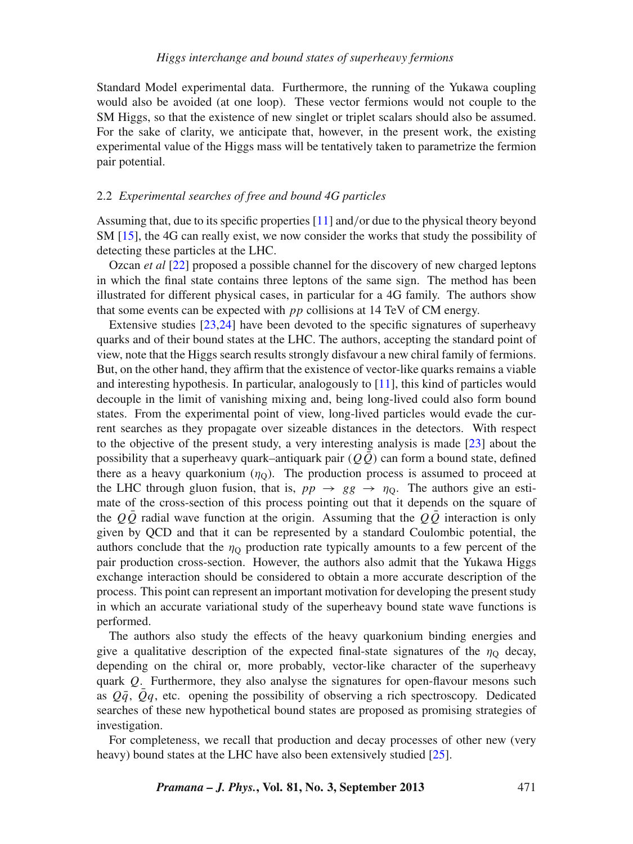Standard Model experimental data. Furthermore, the running of the Yukawa coupling would also be avoided (at one loop). These vector fermions would not couple to the SM Higgs, so that the existence of new singlet or triplet scalars should also be assumed. For the sake of clarity, we anticipate that, however, in the present work, the existing experimental value of the Higgs mass will be tentatively taken to parametrize the fermion pair potential.

# <span id="page-4-0"></span>2.2 *Experimental searches of free and bound 4G particles*

Assuming that, due to its specific properties [\[11](#page-16-3)] and/or due to the physical theory beyond SM [\[15](#page-16-7)], the 4G can really exist, we now consider the works that study the possibility of detecting these particles at the LHC.

Ozcan *et al* [\[22](#page-16-14)] proposed a possible channel for the discovery of new charged leptons in which the final state contains three leptons of the same sign. The method has been illustrated for different physical cases, in particular for a 4G family. The authors show that some events can be expected with *pp* collisions at 14 TeV of CM energy.

Extensive studies [\[23](#page-16-15)[,24\]](#page-16-16) have been devoted to the specific signatures of superheavy quarks and of their bound states at the LHC. The authors, accepting the standard point of view, note that the Higgs search results strongly disfavour a new chiral family of fermions. But, on the other hand, they affirm that the existence of vector-like quarks remains a viable and interesting hypothesis. In particular, analogously to [\[11](#page-16-3)], this kind of particles would decouple in the limit of vanishing mixing and, being long-lived could also form bound states. From the experimental point of view, long-lived particles would evade the current searches as they propagate over sizeable distances in the detectors. With respect to the objective of the present study, a very interesting analysis is made [\[23\]](#page-16-15) about the possibility that a superheavy quark–antiquark pair  $(Q\overline{Q})$  can form a bound state, defined there as a heavy quarkonium  $(\eta_0)$ . The production process is assumed to proceed at the LHC through gluon fusion, that is,  $pp \rightarrow gg \rightarrow \eta_0$ . The authors give an estimate of the cross-section of this process pointing out that it depends on the square of the  $Q\overline{Q}$  radial wave function at the origin. Assuming that the  $Q\overline{Q}$  interaction is only given by QCD and that it can be represented by a standard Coulombic potential, the authors conclude that the  $\eta_{\Omega}$  production rate typically amounts to a few percent of the pair production cross-section. However, the authors also admit that the Yukawa Higgs exchange interaction should be considered to obtain a more accurate description of the process. This point can represent an important motivation for developing the present study in which an accurate variational study of the superheavy bound state wave functions is performed.

The authors also study the effects of the heavy quarkonium binding energies and give a qualitative description of the expected final-state signatures of the  $\eta_{\rm Q}$  decay, depending on the chiral or, more probably, vector-like character of the superheavy quark *Q*. Furthermore, they also analyse the signatures for open-flavour mesons such as  $Q\bar{q}$ ,  $Qq$ , etc. opening the possibility of observing a rich spectroscopy. Dedicated searches of these new hypothetical bound states are proposed as promising strategies of investigation.

For completeness, we recall that production and decay processes of other new (very heavy) bound states at the LHC have also been extensively studied [\[25\]](#page-16-17).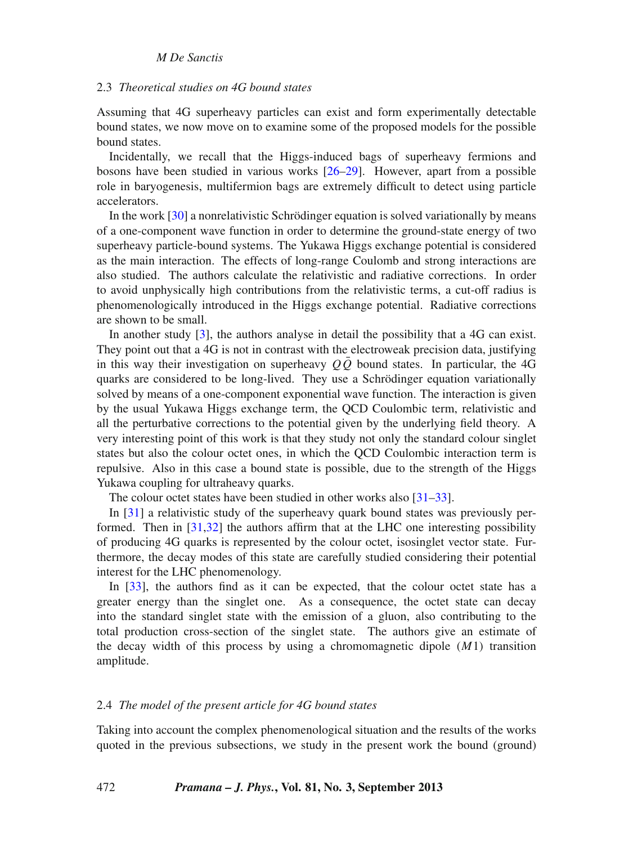# <span id="page-5-0"></span>2.3 *Theoretical studies on 4G bound states*

Assuming that 4G superheavy particles can exist and form experimentally detectable bound states, we now move on to examine some of the proposed models for the possible bound states.

Incidentally, we recall that the Higgs-induced bags of superheavy fermions and bosons have been studied in various works [\[26](#page-16-18)[–29\]](#page-16-19). However, apart from a possible role in baryogenesis, multifermion bags are extremely difficult to detect using particle accelerators.

In the work [\[30](#page-16-20)] a nonrelativistic Schrödinger equation is solved variationally by means of a one-component wave function in order to determine the ground-state energy of two superheavy particle-bound systems. The Yukawa Higgs exchange potential is considered as the main interaction. The effects of long-range Coulomb and strong interactions are also studied. The authors calculate the relativistic and radiative corrections. In order to avoid unphysically high contributions from the relativistic terms, a cut-off radius is phenomenologically introduced in the Higgs exchange potential. Radiative corrections are shown to be small.

In another study [\[3\]](#page-15-2), the authors analyse in detail the possibility that a 4G can exist. They point out that a 4G is not in contrast with the electroweak precision data, justifying in this way their investigation on superheavy  $Q\overline{Q}$  bound states. In particular, the 4G quarks are considered to be long-lived. They use a Schrödinger equation variationally solved by means of a one-component exponential wave function. The interaction is given by the usual Yukawa Higgs exchange term, the QCD Coulombic term, relativistic and all the perturbative corrections to the potential given by the underlying field theory. A very interesting point of this work is that they study not only the standard colour singlet states but also the colour octet ones, in which the QCD Coulombic interaction term is repulsive. Also in this case a bound state is possible, due to the strength of the Higgs Yukawa coupling for ultraheavy quarks.

The colour octet states have been studied in other works also [\[31](#page-16-21)[–33\]](#page-16-22).

In [\[31\]](#page-16-21) a relativistic study of the superheavy quark bound states was previously performed. Then in [\[31](#page-16-21)[,32](#page-16-23)] the authors affirm that at the LHC one interesting possibility of producing 4G quarks is represented by the colour octet, isosinglet vector state. Furthermore, the decay modes of this state are carefully studied considering their potential interest for the LHC phenomenology.

In [\[33](#page-16-22)], the authors find as it can be expected, that the colour octet state has a greater energy than the singlet one. As a consequence, the octet state can decay into the standard singlet state with the emission of a gluon, also contributing to the total production cross-section of the singlet state. The authors give an estimate of the decay width of this process by using a chromomagnetic dipole (*M*1) transition amplitude.

# <span id="page-5-1"></span>2.4 *The model of the present article for 4G bound states*

Taking into account the complex phenomenological situation and the results of the works quoted in the previous subsections, we study in the present work the bound (ground)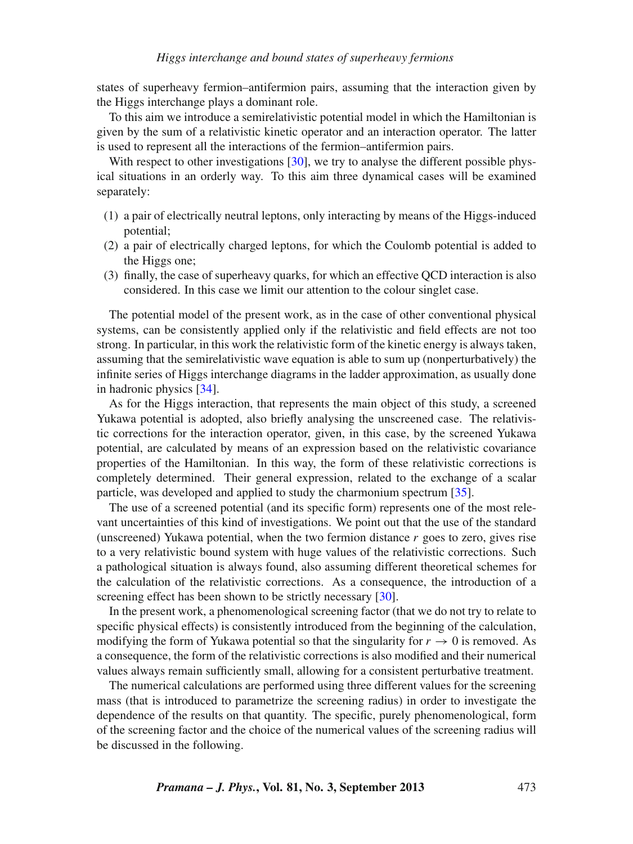states of superheavy fermion–antifermion pairs, assuming that the interaction given by the Higgs interchange plays a dominant role.

To this aim we introduce a semirelativistic potential model in which the Hamiltonian is given by the sum of a relativistic kinetic operator and an interaction operator. The latter is used to represent all the interactions of the fermion–antifermion pairs.

With respect to other investigations [\[30\]](#page-16-20), we try to analyse the different possible physical situations in an orderly way. To this aim three dynamical cases will be examined separately:

- (1) a pair of electrically neutral leptons, only interacting by means of the Higgs-induced potential;
- (2) a pair of electrically charged leptons, for which the Coulomb potential is added to the Higgs one;
- (3) finally, the case of superheavy quarks, for which an effective QCD interaction is also considered. In this case we limit our attention to the colour singlet case.

The potential model of the present work, as in the case of other conventional physical systems, can be consistently applied only if the relativistic and field effects are not too strong. In particular, in this work the relativistic form of the kinetic energy is always taken, assuming that the semirelativistic wave equation is able to sum up (nonperturbatively) the infinite series of Higgs interchange diagrams in the ladder approximation, as usually done in hadronic physics [\[34](#page-16-24)].

As for the Higgs interaction, that represents the main object of this study, a screened Yukawa potential is adopted, also briefly analysing the unscreened case. The relativistic corrections for the interaction operator, given, in this case, by the screened Yukawa potential, are calculated by means of an expression based on the relativistic covariance properties of the Hamiltonian. In this way, the form of these relativistic corrections is completely determined. Their general expression, related to the exchange of a scalar particle, was developed and applied to study the charmonium spectrum [\[35\]](#page-16-25).

The use of a screened potential (and its specific form) represents one of the most relevant uncertainties of this kind of investigations. We point out that the use of the standard (unscreened) Yukawa potential, when the two fermion distance *r* goes to zero, gives rise to a very relativistic bound system with huge values of the relativistic corrections. Such a pathological situation is always found, also assuming different theoretical schemes for the calculation of the relativistic corrections. As a consequence, the introduction of a screening effect has been shown to be strictly necessary [\[30\]](#page-16-20).

In the present work, a phenomenological screening factor (that we do not try to relate to specific physical effects) is consistently introduced from the beginning of the calculation, modifying the form of Yukawa potential so that the singularity for  $r \to 0$  is removed. As a consequence, the form of the relativistic corrections is also modified and their numerical values always remain sufficiently small, allowing for a consistent perturbative treatment.

The numerical calculations are performed using three different values for the screening mass (that is introduced to parametrize the screening radius) in order to investigate the dependence of the results on that quantity. The specific, purely phenomenological, form of the screening factor and the choice of the numerical values of the screening radius will be discussed in the following.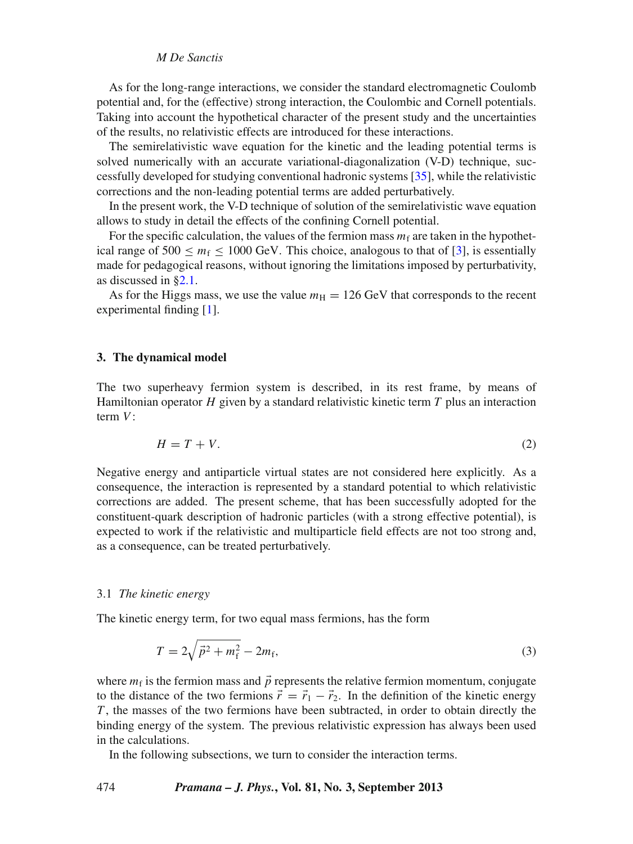As for the long-range interactions, we consider the standard electromagnetic Coulomb potential and, for the (effective) strong interaction, the Coulombic and Cornell potentials. Taking into account the hypothetical character of the present study and the uncertainties of the results, no relativistic effects are introduced for these interactions.

The semirelativistic wave equation for the kinetic and the leading potential terms is solved numerically with an accurate variational-diagonalization (V-D) technique, successfully developed for studying conventional hadronic systems [\[35](#page-16-25)], while the relativistic corrections and the non-leading potential terms are added perturbatively.

In the present work, the V-D technique of solution of the semirelativistic wave equation allows to study in detail the effects of the confining Cornell potential.

For the specific calculation, the values of the fermion mass  $m_f$  are taken in the hypothetical range of 500  $\leq m_f \leq 1000$  GeV. This choice, analogous to that of [\[3](#page-15-2)], is essentially made for pedagogical reasons, without ignoring the limitations imposed by perturbativity, as discussed in [§2.1.](#page-1-1)

As for the Higgs mass, we use the value  $m<sub>H</sub> = 126$  GeV that corresponds to the recent experimental finding [\[1](#page-15-0)].

# <span id="page-7-0"></span>**3. The dynamical model**

The two superheavy fermion system is described, in its rest frame, by means of Hamiltonian operator *H* given by a standard relativistic kinetic term *T* plus an interaction term *V*:

<span id="page-7-2"></span>
$$
H = T + V.\tag{2}
$$

Negative energy and antiparticle virtual states are not considered here explicitly. As a consequence, the interaction is represented by a standard potential to which relativistic corrections are added. The present scheme, that has been successfully adopted for the constituent-quark description of hadronic particles (with a strong effective potential), is expected to work if the relativistic and multiparticle field effects are not too strong and, as a consequence, can be treated perturbatively.

#### <span id="page-7-1"></span>3.1 *The kinetic energy*

The kinetic energy term, for two equal mass fermions, has the form

<span id="page-7-3"></span>
$$
T = 2\sqrt{\vec{p}^2 + m_f^2} - 2m_f,
$$
\n(3)

where  $m_f$  is the fermion mass and  $\vec{p}$  represents the relative fermion momentum, conjugate to the distance of the two fermions  $\vec{r} = \vec{r}_1 - \vec{r}_2$ . In the definition of the kinetic energy *T* , the masses of the two fermions have been subtracted, in order to obtain directly the binding energy of the system. The previous relativistic expression has always been used in the calculations.

In the following subsections, we turn to consider the interaction terms.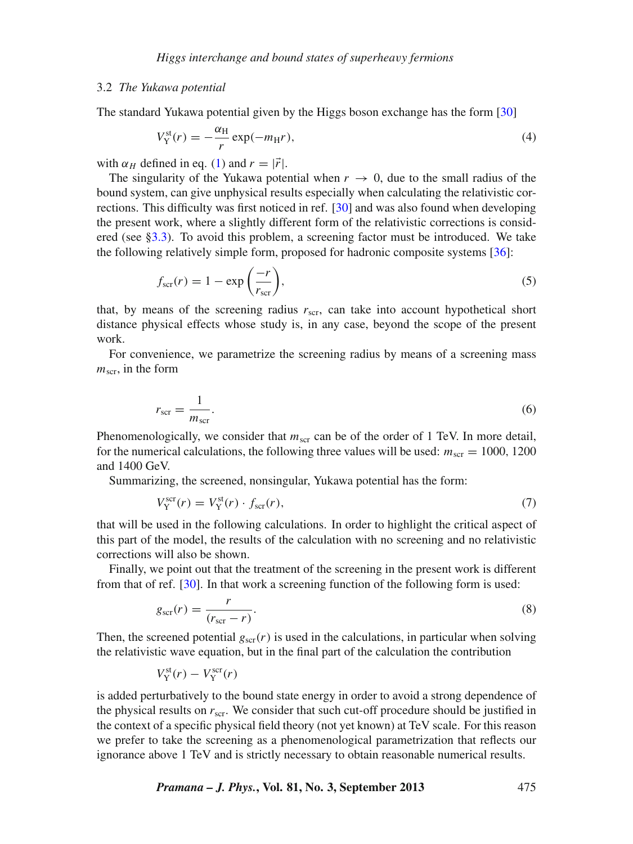### <span id="page-8-0"></span>3.2 *The Yukawa potential*

The standard Yukawa potential given by the Higgs boson exchange has the form [\[30](#page-16-20)]

$$
V_Y^{\text{st}}(r) = -\frac{\alpha_H}{r} \exp(-m_H r),\tag{4}
$$

with  $\alpha_H$  defined in eq. [\(1\)](#page-1-2) and  $r = |\vec{r}|$ .

The singularity of the Yukawa potential when  $r \to 0$ , due to the small radius of the bound system, can give unphysical results especially when calculating the relativistic corrections. This difficulty was first noticed in ref. [\[30\]](#page-16-20) and was also found when developing the present work, where a slightly different form of the relativistic corrections is considered (see [§3.3\)](#page-9-0). To avoid this problem, a screening factor must be introduced. We take the following relatively simple form, proposed for hadronic composite systems [\[36\]](#page-16-26):

<span id="page-8-1"></span>
$$
f_{\rm scr}(r) = 1 - \exp\left(\frac{-r}{r_{\rm scr}}\right),\tag{5}
$$

that, by means of the screening radius  $r_{\rm scr}$ , can take into account hypothetical short distance physical effects whose study is, in any case, beyond the scope of the present work.

For convenience, we parametrize the screening radius by means of a screening mass  $m_{\rm scr}$ , in the form

$$
r_{\rm scr} = \frac{1}{m_{\rm scr}}.\tag{6}
$$

Phenomenologically, we consider that  $m<sub>scr</sub>$  can be of the order of 1 TeV. In more detail, for the numerical calculations, the following three values will be used:  $m_{\rm scr} = 1000$ , 1200 and 1400 GeV.

Summarizing, the screened, nonsingular, Yukawa potential has the form:

<span id="page-8-2"></span>
$$
V_{\rm Y}^{\rm scr}(r) = V_{\rm Y}^{\rm st}(r) \cdot f_{\rm scr}(r),\tag{7}
$$

that will be used in the following calculations. In order to highlight the critical aspect of this part of the model, the results of the calculation with no screening and no relativistic corrections will also be shown.

Finally, we point out that the treatment of the screening in the present work is different from that of ref. [\[30\]](#page-16-20). In that work a screening function of the following form is used:

$$
g_{\rm scr}(r) = \frac{r}{(r_{\rm scr} - r)}.\tag{8}
$$

Then, the screened potential  $g_{\text{scr}}(r)$  is used in the calculations, in particular when solving the relativistic wave equation, but in the final part of the calculation the contribution

$$
V_{\rm Y}^{\rm st}(r) - V_{\rm Y}^{\rm scr}(r)
$$

is added perturbatively to the bound state energy in order to avoid a strong dependence of the physical results on *r*scr. We consider that such cut-off procedure should be justified in the context of a specific physical field theory (not yet known) at TeV scale. For this reason we prefer to take the screening as a phenomenological parametrization that reflects our ignorance above 1 TeV and is strictly necessary to obtain reasonable numerical results.

*Pramana – J. Phys.***, Vol. 81, No. 3, September 2013** 475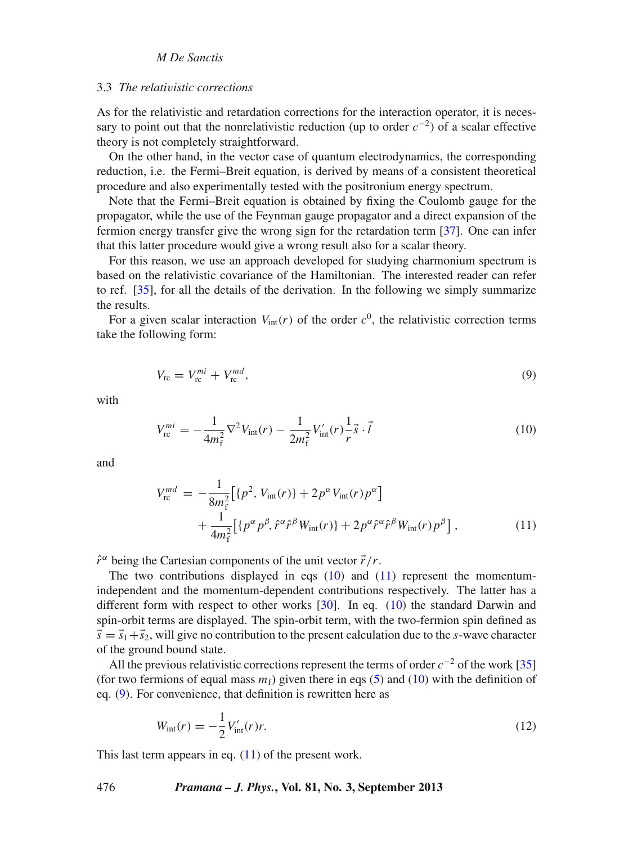# <span id="page-9-0"></span>3.3 *The relati*v*istic corrections*

As for the relativistic and retardation corrections for the interaction operator, it is necessary to point out that the nonrelativistic reduction (up to order  $c^{-2}$ ) of a scalar effective theory is not completely straightforward.

On the other hand, in the vector case of quantum electrodynamics, the corresponding reduction, i.e. the Fermi–Breit equation, is derived by means of a consistent theoretical procedure and also experimentally tested with the positronium energy spectrum.

Note that the Fermi–Breit equation is obtained by fixing the Coulomb gauge for the propagator, while the use of the Feynman gauge propagator and a direct expansion of the fermion energy transfer give the wrong sign for the retardation term [\[37](#page-16-27)]. One can infer that this latter procedure would give a wrong result also for a scalar theory.

For this reason, we use an approach developed for studying charmonium spectrum is based on the relativistic covariance of the Hamiltonian. The interested reader can refer to ref. [\[35](#page-16-25)], for all the details of the derivation. In the following we simply summarize the results.

<span id="page-9-3"></span>For a given scalar interaction  $V_{\text{int}}(r)$  of the order  $c^0$ , the relativistic correction terms take the following form:

$$
V_{\rm rc} = V_{\rm rc}^{mi} + V_{\rm rc}^{md},\tag{9}
$$

<span id="page-9-1"></span>with

$$
V_{\rm rc}^{mi} = -\frac{1}{4m_{\rm f}^2} \nabla^2 V_{\rm int}(r) - \frac{1}{2m_{\rm f}^2} V_{\rm int}'(r) \frac{1}{r} \vec{s} \cdot \vec{l} \tag{10}
$$

and

<span id="page-9-2"></span>
$$
V_{\rm rc}^{md} = -\frac{1}{8m_{\rm f}^2} \Big[ \{p^2, V_{\rm int}(r)\} + 2p^{\alpha}V_{\rm int}(r)p^{\alpha} \Big] + \frac{1}{4m_{\rm f}^2} \Big[ \{p^{\alpha}p^{\beta}, \hat{r}^{\alpha}\hat{r}^{\beta}W_{\rm int}(r)\} + 2p^{\alpha}\hat{r}^{\alpha}\hat{r}^{\beta}W_{\rm int}(r)p^{\beta} \Big], \tag{11}
$$

 $\hat{r}^{\alpha}$  being the Cartesian components of the unit vector  $\vec{r}/r$ .

The two contributions displayed in eqs  $(10)$  and  $(11)$  represent the momentumindependent and the momentum-dependent contributions respectively. The latter has a different form with respect to other works [\[30](#page-16-20)]. In eq. [\(10\)](#page-9-1) the standard Darwin and spin-orbit terms are displayed. The spin-orbit term, with the two-fermion spin defined as  $\vec{s} = \vec{s}_1 + \vec{s}_2$ , will give no contribution to the present calculation due to the *s*-wave character of the ground bound state.

All the previous relativistic corrections represent the terms of order  $c^{-2}$  of the work [\[35\]](#page-16-25) (for two fermions of equal mass  $m_f$ ) given there in eqs [\(5\)](#page-8-1) and [\(10\)](#page-9-1) with the definition of eq. [\(9\)](#page-9-3). For convenience, that definition is rewritten here as

$$
W_{\rm int}(r) = -\frac{1}{2} V_{\rm int}'(r)r.
$$
\n(12)

This last term appears in eq.  $(11)$  of the present work.

# 476 *Pramana – J. Phys.***, Vol. 81, No. 3, September 2013**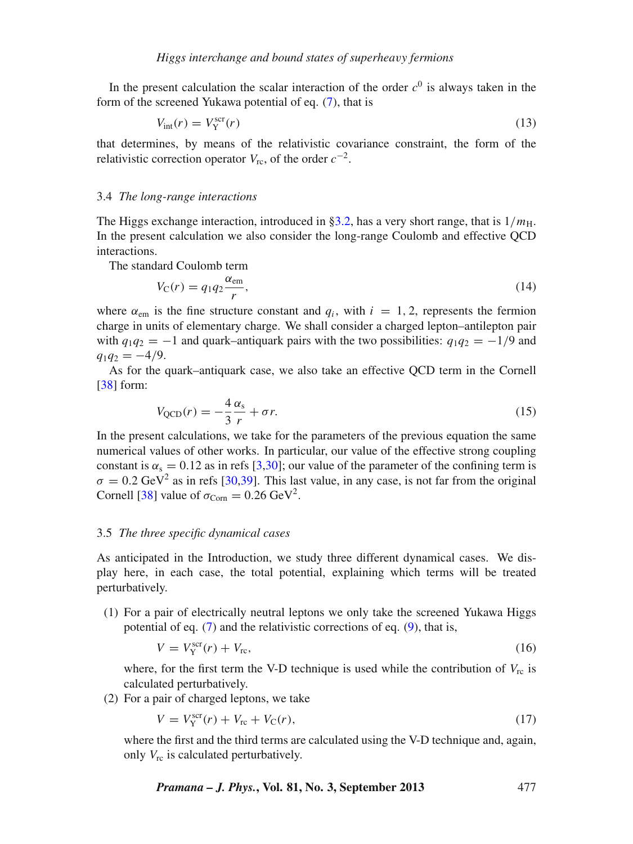In the present calculation the scalar interaction of the order  $c<sup>0</sup>$  is always taken in the form of the screened Yukawa potential of eq. [\(7\)](#page-8-2), that is

$$
V_{\text{int}}(r) = V_{\text{Y}}^{\text{scr}}(r) \tag{13}
$$

that determines, by means of the relativistic covariance constraint, the form of the relativistic correction operator  $V_{\text{rc}}$ , of the order  $c^{-2}$ .

#### <span id="page-10-0"></span>3.4 *The long-range interactions*

The Higgs exchange interaction, introduced in [§3.2,](#page-8-0) has a very short range, that is  $1/m<sub>H</sub>$ . In the present calculation we also consider the long-range Coulomb and effective QCD interactions.

The standard Coulomb term

$$
V_{\rm C}(r) = q_1 q_2 \frac{\alpha_{\rm em}}{r},\tag{14}
$$

where  $\alpha_{em}$  is the fine structure constant and  $q_i$ , with  $i = 1, 2$ , represents the fermion charge in units of elementary charge. We shall consider a charged lepton–antilepton pair with  $q_1q_2 = -1$  and quark–antiquark pairs with the two possibilities:  $q_1q_2 = -1/9$  and  $q_1q_2 = -4/9.$ 

As for the quark–antiquark case, we also take an effective QCD term in the Cornell [\[38](#page-16-28)] form:

$$
V_{\rm QCD}(r) = -\frac{4}{3} \frac{\alpha_s}{r} + \sigma r. \tag{15}
$$

In the present calculations, we take for the parameters of the previous equation the same numerical values of other works. In particular, our value of the effective strong coupling constant is  $\alpha_s = 0.12$  as in refs [\[3](#page-15-2)[,30\]](#page-16-20); our value of the parameter of the confining term is  $\sigma = 0.2$  GeV<sup>2</sup> as in refs [\[30](#page-16-20)[,39\]](#page-16-29). This last value, in any case, is not far from the original Cornell [\[38\]](#page-16-28) value of  $\sigma_{\text{Corn}} = 0.26 \text{ GeV}^2$ .

### <span id="page-10-1"></span>3.5 *The three specific dynamical cases*

As anticipated in the Introduction, we study three different dynamical cases. We display here, in each case, the total potential, explaining which terms will be treated perturbatively.

(1) For a pair of electrically neutral leptons we only take the screened Yukawa Higgs potential of eq. [\(7\)](#page-8-2) and the relativistic corrections of eq. [\(9\)](#page-9-3), that is,

$$
V = V_Y^{\text{scr}}(r) + V_{\text{rc}},\tag{16}
$$

where, for the first term the V-D technique is used while the contribution of  $V_{\text{rc}}$  is calculated perturbatively.

(2) For a pair of charged leptons, we take

$$
V = V_{Y}^{scr}(r) + V_{rc} + V_{C}(r),
$$
\n(17)

where the first and the third terms are calculated using the V-D technique and, again, only  $V_{\text{rc}}$  is calculated perturbatively.

*Pramana – J. Phys.***, Vol. 81, No. 3, September 2013** 477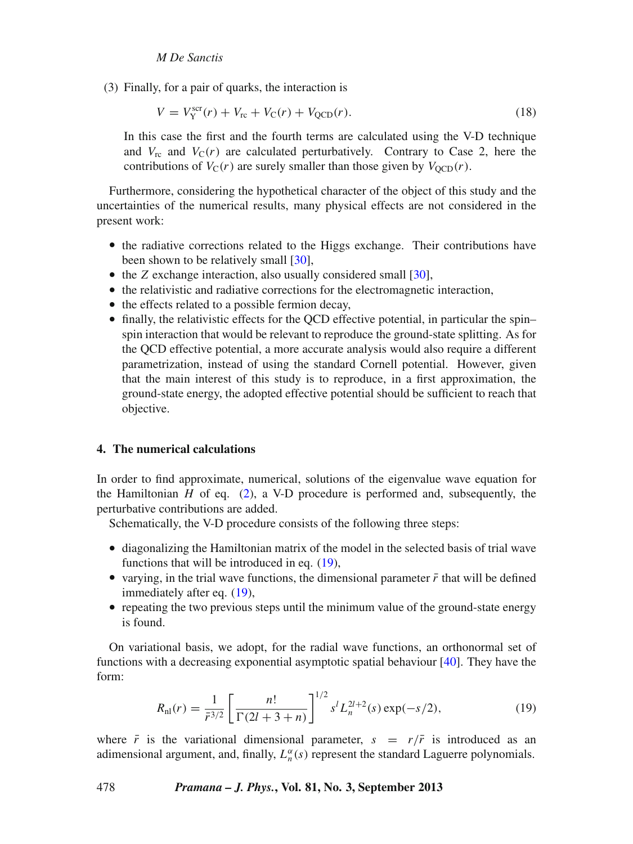(3) Finally, for a pair of quarks, the interaction is

$$
V = V_{Y}^{scr}(r) + V_{rc} + V_{C}(r) + V_{QCD}(r).
$$
 (18)

In this case the first and the fourth terms are calculated using the V-D technique and  $V_{\rm rc}$  and  $V_{\rm C}(r)$  are calculated perturbatively. Contrary to Case 2, here the contributions of  $V_C(r)$  are surely smaller than those given by  $V_{OCD}(r)$ .

Furthermore, considering the hypothetical character of the object of this study and the uncertainties of the numerical results, many physical effects are not considered in the present work:

- the radiative corrections related to the Higgs exchange. Their contributions have been shown to be relatively small [\[30](#page-16-20)],
- the *Z* exchange interaction, also usually considered small [\[30](#page-16-20)],
- the relativistic and radiative corrections for the electromagnetic interaction,
- the effects related to a possible fermion decay,
- finally, the relativistic effects for the QCD effective potential, in particular the spin– spin interaction that would be relevant to reproduce the ground-state splitting. As for the QCD effective potential, a more accurate analysis would also require a different parametrization, instead of using the standard Cornell potential. However, given that the main interest of this study is to reproduce, in a first approximation, the ground-state energy, the adopted effective potential should be sufficient to reach that objective.

# <span id="page-11-0"></span>**4. The numerical calculations**

In order to find approximate, numerical, solutions of the eigenvalue wave equation for the Hamiltonian  $H$  of eq.  $(2)$ , a V-D procedure is performed and, subsequently, the perturbative contributions are added.

Schematically, the V-D procedure consists of the following three steps:

- diagonalizing the Hamiltonian matrix of the model in the selected basis of trial wave functions that will be introduced in eq. [\(19\)](#page-11-1),
- varying, in the trial wave functions, the dimensional parameter  $\bar{r}$  that will be defined immediately after eq. [\(19\)](#page-11-1),
- repeating the two previous steps until the minimum value of the ground-state energy is found.

On variational basis, we adopt, for the radial wave functions, an orthonormal set of functions with a decreasing exponential asymptotic spatial behaviour [\[40\]](#page-16-30). They have the form:

<span id="page-11-1"></span>
$$
R_{\rm nl}(r) = \frac{1}{\bar{r}^{3/2}} \left[ \frac{n!}{\Gamma(2l+3+n)} \right]^{1/2} s^l L_n^{2l+2}(s) \exp(-s/2),\tag{19}
$$

where  $\bar{r}$  is the variational dimensional parameter,  $s = r/\bar{r}$  is introduced as an adimensional argument, and, finally,  $L_n^{\alpha}(s)$  represent the standard Laguerre polynomials.

# 478 *Pramana – J. Phys.***, Vol. 81, No. 3, September 2013**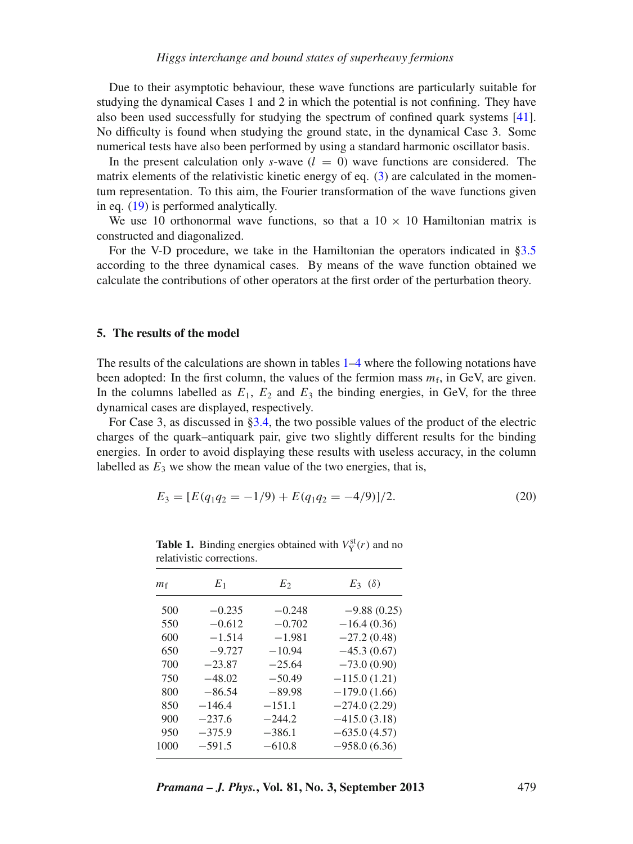Due to their asymptotic behaviour, these wave functions are particularly suitable for studying the dynamical Cases 1 and 2 in which the potential is not confining. They have also been used successfully for studying the spectrum of confined quark systems [\[41](#page-16-31)]. No difficulty is found when studying the ground state, in the dynamical Case 3. Some numerical tests have also been performed by using a standard harmonic oscillator basis.

In the present calculation only *s*-wave  $(l = 0)$  wave functions are considered. The matrix elements of the relativistic kinetic energy of eq. [\(3\)](#page-7-3) are calculated in the momentum representation. To this aim, the Fourier transformation of the wave functions given in eq. [\(19\)](#page-11-1) is performed analytically.

We use 10 orthonormal wave functions, so that a  $10 \times 10$  Hamiltonian matrix is constructed and diagonalized.

For the V-D procedure, we take in the Hamiltonian the operators indicated in [§3.5](#page-10-1) according to the three dynamical cases. By means of the wave function obtained we calculate the contributions of other operators at the first order of the perturbation theory.

# <span id="page-12-0"></span>**5. The results of the model**

The results of the calculations are shown in tables  $1-4$  $1-4$  where the following notations have been adopted: In the first column, the values of the fermion mass  $m_f$ , in GeV, are given. In the columns labelled as  $E_1$ ,  $E_2$  and  $E_3$  the binding energies, in GeV, for the three dynamical cases are displayed, respectively.

For Case 3, as discussed in [§3.4,](#page-10-0) the two possible values of the product of the electric charges of the quark–antiquark pair, give two slightly different results for the binding energies. In order to avoid displaying these results with useless accuracy, in the column labelled as  $E_3$  we show the mean value of the two energies, that is,

$$
E_3 = [E(q_1 q_2 = -1/9) + E(q_1 q_2 = -4/9)]/2.
$$
 (20)

| $m_{\rm f}$ | $E_1$    | $E_2$    | $E_3$ ( $\delta$ ) |
|-------------|----------|----------|--------------------|
| 500         | $-0.235$ | $-0.248$ | $-9.88(0.25)$      |
| 550         | $-0.612$ | $-0.702$ | $-16.4(0.36)$      |
| 600         | $-1.514$ | $-1.981$ | $-27.2(0.48)$      |
| 650         | $-9.727$ | $-10.94$ | $-45.3(0.67)$      |
| 700         | $-23.87$ | $-25.64$ | $-73.0(0.90)$      |
| 750         | $-48.02$ | $-50.49$ | $-115.0(1.21)$     |
| 800         | $-86.54$ | $-89.98$ | $-179.0(1.66)$     |
| 850         | $-146.4$ | $-151.1$ | $-274.0(2.29)$     |
| 900         | $-237.6$ | $-244.2$ | $-415.0(3.18)$     |
| 950         | $-375.9$ | $-386.1$ | $-635.0(4.57)$     |
| 1000        | $-591.5$ | $-610.8$ | $-958.0(6.36)$     |

<span id="page-12-1"></span>**Table 1.** Binding energies obtained with  $V_Y^{\text{st}}(r)$  and no relativistic corrections.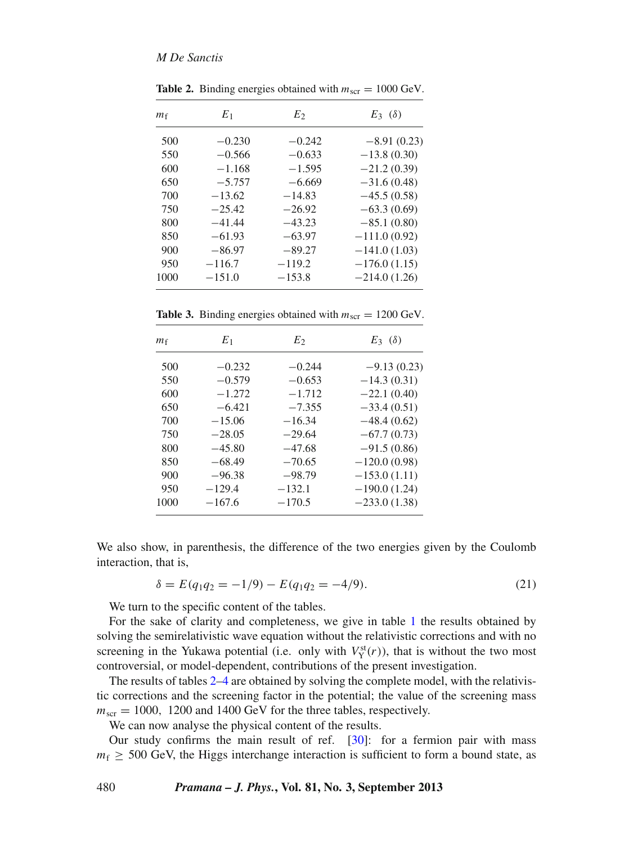| $m_{\rm f}$ | $E_1$    | E <sub>2</sub> | $E_3$ ( $\delta$ ) |
|-------------|----------|----------------|--------------------|
| 500         | $-0.230$ | $-0.242$       | $-8.91(0.23)$      |
| 550         | $-0.566$ | $-0.633$       | $-13.8(0.30)$      |
| 600         | $-1.168$ | $-1.595$       | $-21.2(0.39)$      |
| 650         | $-5.757$ | $-6.669$       | $-31.6(0.48)$      |
| 700         | $-13.62$ | $-14.83$       | $-45.5(0.58)$      |
| 750         | $-25.42$ | $-26.92$       | $-63.3(0.69)$      |
| 800         | $-41.44$ | $-43.23$       | $-85.1(0.80)$      |
| 850         | $-61.93$ | $-63.97$       | $-111.0(0.92)$     |
| 900         | $-86.97$ | $-89.27$       | $-141.0(1.03)$     |
| 950         | $-116.7$ | $-119.2$       | $-176.0(1.15)$     |
| 1000        | $-151.0$ | $-153.8$       | $-214.0(1.26)$     |

<span id="page-13-0"></span>**Table 2.** Binding energies obtained with  $m_{\text{scr}} = 1000 \text{ GeV}$ .

**Table 3.** Binding energies obtained with  $m_{\text{scr}} = 1200 \text{ GeV}$ .

| $m_{\rm f}$ | $E_1$    | E <sub>2</sub> | $E_3$ ( $\delta$ ) |
|-------------|----------|----------------|--------------------|
| 500         | $-0.232$ | $-0.244$       | $-9.13(0.23)$      |
| 550         | $-0.579$ | $-0.653$       | $-14.3(0.31)$      |
| 600         | $-1.272$ | $-1.712$       | $-22.1(0.40)$      |
| 650         | $-6.421$ | $-7.355$       | $-33.4(0.51)$      |
| 700         | $-15.06$ | $-16.34$       | $-48.4(0.62)$      |
| 750         | $-28.05$ | $-29.64$       | $-67.7(0.73)$      |
| 800         | $-45.80$ | $-47.68$       | $-91.5(0.86)$      |
| 850         | $-68.49$ | $-70.65$       | $-120.0(0.98)$     |
| 900         | $-96.38$ | $-98.79$       | $-153.0(1.11)$     |
| 950         | $-129.4$ | $-132.1$       | $-190.0(1.24)$     |
| 1000        | $-167.6$ | $-170.5$       | $-233.0(1.38)$     |

We also show, in parenthesis, the difference of the two energies given by the Coulomb interaction, that is,

$$
\delta = E(q_1 q_2 = -1/9) - E(q_1 q_2 = -4/9). \tag{21}
$$

We turn to the specific content of the tables.

For the sake of clarity and completeness, we give in table [1](#page-12-1) the results obtained by solving the semirelativistic wave equation without the relativistic corrections and with no screening in the Yukawa potential (i.e. only with  $V_Y^{\text{st}}(r)$ ), that is without the two most controversial, or model-dependent, contributions of the present investigation.

The results of tables [2](#page-13-0)[–4](#page-14-0) are obtained by solving the complete model, with the relativistic corrections and the screening factor in the potential; the value of the screening mass  $m_{\text{scr}} = 1000$ , 1200 and 1400 GeV for the three tables, respectively.

We can now analyse the physical content of the results.

Our study confirms the main result of ref. [\[30](#page-16-20)]: for a fermion pair with mass  $m_f \geq 500$  GeV, the Higgs interchange interaction is sufficient to form a bound state, as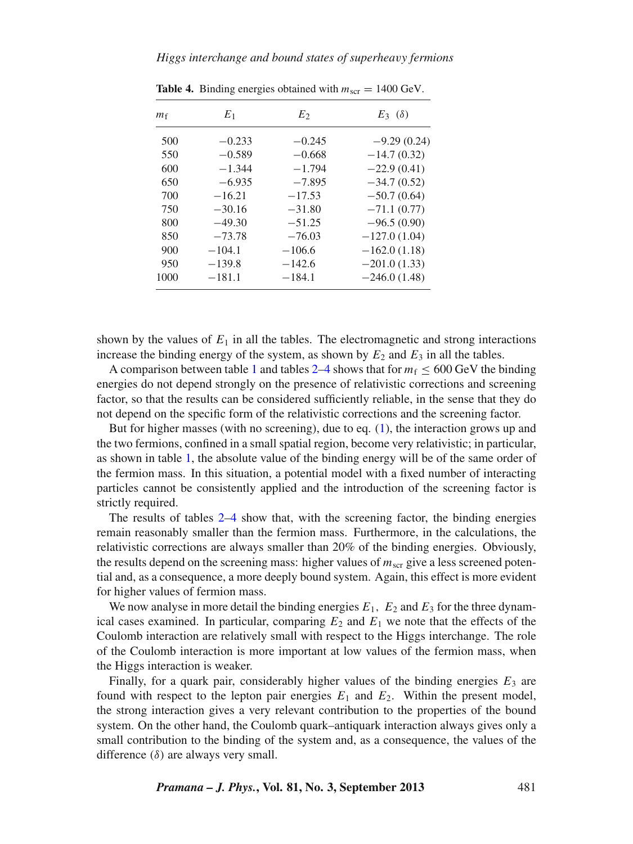| $m_{f}$ | $E_1$    | $E_2$    | $E_3$ ( $\delta$ ) |
|---------|----------|----------|--------------------|
| 500     | $-0.233$ | $-0.245$ | $-9.29(0.24)$      |
| 550     | $-0.589$ | $-0.668$ | $-14.7(0.32)$      |
| 600     | $-1.344$ | $-1.794$ | $-22.9(0.41)$      |
| 650     | $-6.935$ | $-7.895$ | $-34.7(0.52)$      |
| 700     | $-16.21$ | $-17.53$ | $-50.7(0.64)$      |
| 750     | $-30.16$ | $-31.80$ | $-71.1(0.77)$      |
| 800     | $-49.30$ | $-51.25$ | $-96.5(0.90)$      |
| 850     | $-73.78$ | $-76.03$ | $-127.0(1.04)$     |
| 900     | $-104.1$ | $-106.6$ | $-162.0(1.18)$     |
| 950     | $-139.8$ | $-142.6$ | $-201.0(1.33)$     |
| 1000    | $-181.1$ | $-184.1$ | $-246.0(1.48)$     |

<span id="page-14-0"></span>**Table 4.** Binding energies obtained with  $m_{\text{scr}} = 1400 \text{ GeV}$ .

shown by the values of  $E_1$  in all the tables. The electromagnetic and strong interactions increase the binding energy of the system, as shown by  $E_2$  and  $E_3$  in all the tables.

A comparison between table [1](#page-12-1) and tables [2](#page-13-0)[–4](#page-14-0) shows that for  $m_f \leq 600 \text{ GeV}$  the binding energies do not depend strongly on the presence of relativistic corrections and screening factor, so that the results can be considered sufficiently reliable, in the sense that they do not depend on the specific form of the relativistic corrections and the screening factor.

But for higher masses (with no screening), due to eq. [\(1\)](#page-1-2), the interaction grows up and the two fermions, confined in a small spatial region, become very relativistic; in particular, as shown in table [1,](#page-12-1) the absolute value of the binding energy will be of the same order of the fermion mass. In this situation, a potential model with a fixed number of interacting particles cannot be consistently applied and the introduction of the screening factor is strictly required.

The results of tables [2–](#page-13-0)[4](#page-14-0) show that, with the screening factor, the binding energies remain reasonably smaller than the fermion mass. Furthermore, in the calculations, the relativistic corrections are always smaller than 20% of the binding energies. Obviously, the results depend on the screening mass: higher values of  $m<sub>scr</sub>$  give a less screened potential and, as a consequence, a more deeply bound system. Again, this effect is more evident for higher values of fermion mass.

We now analyse in more detail the binding energies  $E_1$ ,  $E_2$  and  $E_3$  for the three dynamical cases examined. In particular, comparing  $E_2$  and  $E_1$  we note that the effects of the Coulomb interaction are relatively small with respect to the Higgs interchange. The role of the Coulomb interaction is more important at low values of the fermion mass, when the Higgs interaction is weaker.

Finally, for a quark pair, considerably higher values of the binding energies  $E_3$  are found with respect to the lepton pair energies  $E_1$  and  $E_2$ . Within the present model, the strong interaction gives a very relevant contribution to the properties of the bound system. On the other hand, the Coulomb quark–antiquark interaction always gives only a small contribution to the binding of the system and, as a consequence, the values of the difference  $(\delta)$  are always very small.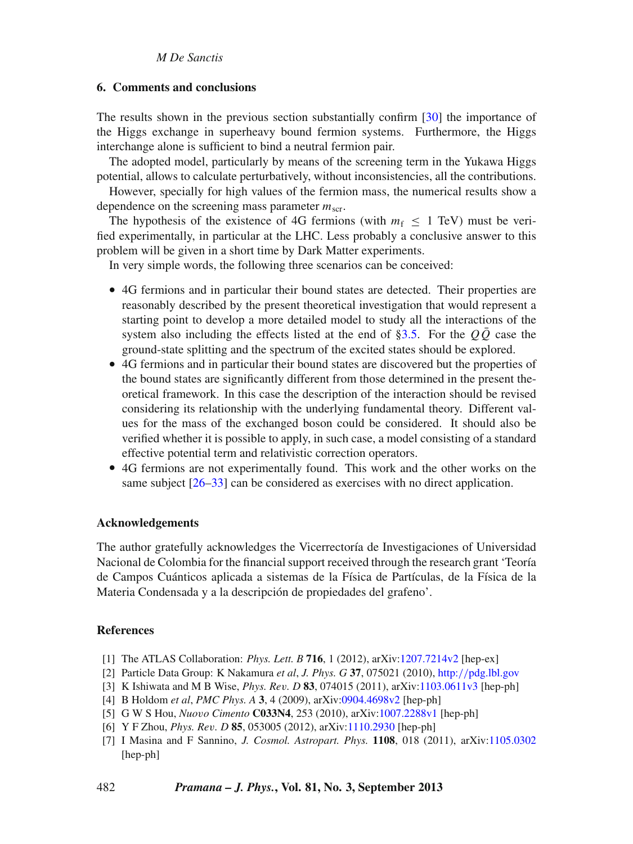### <span id="page-15-3"></span>**6. Comments and conclusions**

The results shown in the previous section substantially confirm [\[30](#page-16-20)] the importance of the Higgs exchange in superheavy bound fermion systems. Furthermore, the Higgs interchange alone is sufficient to bind a neutral fermion pair.

The adopted model, particularly by means of the screening term in the Yukawa Higgs potential, allows to calculate perturbatively, without inconsistencies, all the contributions.

However, specially for high values of the fermion mass, the numerical results show a dependence on the screening mass parameter  $m_{\text{scr}}$ .

The hypothesis of the existence of 4G fermions (with  $m_f \leq 1$  TeV) must be verified experimentally, in particular at the LHC. Less probably a conclusive answer to this problem will be given in a short time by Dark Matter experiments.

In very simple words, the following three scenarios can be conceived:

- 4G fermions and in particular their bound states are detected. Their properties are reasonably described by the present theoretical investigation that would represent a starting point to develop a more detailed model to study all the interactions of the system also including the effects listed at the end of  $\S3.5$ . For the  $Q\overline{Q}$  case the ground-state splitting and the spectrum of the excited states should be explored.
- 4G fermions and in particular their bound states are discovered but the properties of the bound states are significantly different from those determined in the present theoretical framework. In this case the description of the interaction should be revised considering its relationship with the underlying fundamental theory. Different values for the mass of the exchanged boson could be considered. It should also be verified whether it is possible to apply, in such case, a model consisting of a standard effective potential term and relativistic correction operators.
- 4G fermions are not experimentally found. This work and the other works on the same subject  $[26-33]$  $[26-33]$  can be considered as exercises with no direct application.

### **Acknowledgements**

The author gratefully acknowledges the Vicerrectoría de Investigaciones of Universidad Nacional de Colombia for the financial support received through the research grant 'Teoría de Campos Cuánticos aplicada a sistemas de la Física de Partículas, de la Física de la Materia Condensada y a la descripción de propiedades del grafeno'.

### **References**

- <span id="page-15-0"></span>[1] The ATLAS Collaboration: *Phys. Lett. B* **716**, 1 (2012), arXiv[:1207.7214v2](http://arxiv.org/abs/1207.7214v2) [hep-ex]
- <span id="page-15-1"></span>[2] Particle Data Group: K Nakamura *et al*, *J. Phys. G* **37**, 075021 (2010), http://[pdg.lbl.gov](http://pdg.lbl.gov)
- <span id="page-15-2"></span>[3] K Ishiwata and M B Wise, *Phys. Re*v*. D* **83**, 074015 (2011), arXiv[:1103.0611v3](http://arxiv.org/abs/1103.0611v3) [hep-ph]
- <span id="page-15-4"></span>[4] B Holdom *et al*, *PMC Phys. A* **3**, 4 (2009), arXiv[:0904.4698v2](http://arxiv.org/abs/0904.4698v2) [hep-ph]
- <span id="page-15-5"></span>[5] G W S Hou, *Nuo*v*o Cimento* **C033N4**, 253 (2010), arXiv[:1007.2288v1](http://arxiv.org/abs/1007.2288v1) [hep-ph]
- <span id="page-15-6"></span>[6] Y F Zhou, *Phys. Re*v*. D* **85**, 053005 (2012), arXiv[:1110.2930](http://arxiv.org/abs/1110.2930) [hep-ph]
- <span id="page-15-7"></span>[7] I Masina and F Sannino, *J. Cosmol. Astropart. Phys.* **1108**, 018 (2011), arXiv[:1105.0302](http://arxiv.org/abs/1105.0302) [hep-ph]